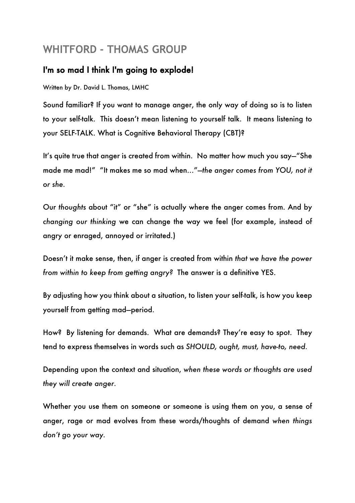## **WHITFORD - THOMAS GROUP**

## I'm so mad I think I'm going to explode!

Written by Dr. David L. Thomas, LMHC

Sound familiar? If you want to manage anger, the only way of doing so is to listen to your self-talk. This doesn't mean listening to yourself talk. It means listening to your SELF-TALK. What is Cognitive Behavioral Therapy (CBT)?

It's quite true that anger is created from within. No matter how much you say—"She made me mad!" "It makes me so mad when…"—*the anger comes from YOU, not it or she.*

Our *thoughts* about "it" or "she" is actually where the anger comes from. And by *changing our thinking* we can change the way we feel (for example, instead of angry or enraged, annoyed or irritated.)

Doesn't it make sense, then, if anger is created from within *that we have the power from within to keep from getting angry?* The answer is a definitive YES.

By adjusting how you think about a situation, to listen your self-talk, is how you keep yourself from getting mad—period.

How? By listening for demands. What are demands? They're easy to spot. They tend to express themselves in words such as *SHOULD, ought, must, have-to, need.* 

Depending upon the context and situation, *when these words or thoughts are used they will create anger.*

Whether you use them on someone or someone is using them on you, a sense of anger, rage or mad evolves from these words/thoughts of demand *when things don't go your way.*